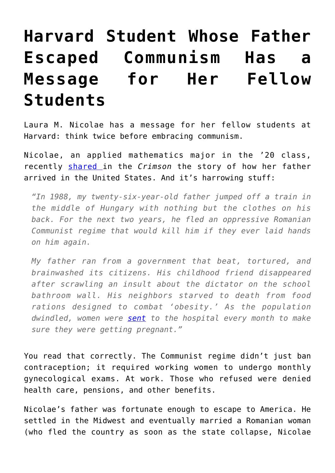## **[Harvard Student Whose Father](https://intellectualtakeout.org/2017/12/harvard-student-whose-father-escaped-communism-has-a-message-for-her-fellow-students/) [Escaped Communism Has a](https://intellectualtakeout.org/2017/12/harvard-student-whose-father-escaped-communism-has-a-message-for-her-fellow-students/) [Message for Her Fellow](https://intellectualtakeout.org/2017/12/harvard-student-whose-father-escaped-communism-has-a-message-for-her-fellow-students/) [Students](https://intellectualtakeout.org/2017/12/harvard-student-whose-father-escaped-communism-has-a-message-for-her-fellow-students/)**

Laura M. Nicolae has a message for her fellow students at Harvard: think twice before embracing communism.

Nicolae, an applied mathematics major in the '20 class, recently [shared i](http://www.thecrimson.com/article/2017/11/20/nicolae-one-hundred-million/)n the *Crimson* the story of how her father arrived in the United States. And it's harrowing stuff:

*"In 1988, my twenty-six-year-old father jumped off a train in the middle of Hungary with nothing but the clothes on his back. For the next two years, he fled an oppressive Romanian Communist regime that would kill him if they ever laid hands on him again.*

*My father ran from a government that beat, tortured, and brainwashed its citizens. His childhood friend disappeared after scrawling an insult about the dictator on the school bathroom wall. His neighbors starved to death from food rations designed to combat 'obesity.' As the population dwindled, women were [sent](https://www.ncbi.nlm.nih.gov/pubmed/12222213) to the hospital every month to make sure they were getting pregnant."*

You read that correctly. The Communist regime didn't just ban contraception; it required working women to undergo monthly gynecological exams. At work. Those who refused were denied health care, pensions, and other benefits.

Nicolae's father was fortunate enough to escape to America. He settled in the Midwest and eventually married a Romanian woman (who fled the country as soon as the state collapse, Nicolae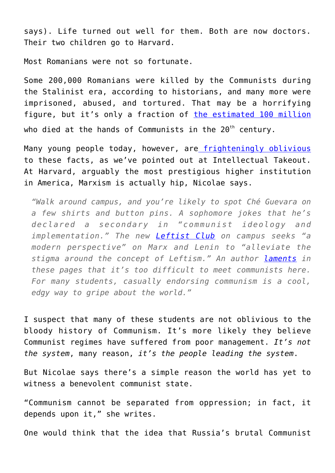says). Life turned out well for them. Both are now doctors. Their two children go to Harvard.

Most Romanians were not so fortunate.

Some 200,000 Romanians were killed by the Communists during the Stalinist era, according to historians, and many more were imprisoned, abused, and tortured. That may be a horrifying figure, but it's only a fraction of [the estimated 100 million](https://sites.fas.harvard.edu/~hpcws/asreview.htm) who died at the hands of Communists in the  $20<sup>th</sup>$  century.

Many young people today, however, are [frighteningly oblivious](https://www.intellectualtakeout.org/blog/americans-are-embracing-bad-government-because-they-dont-know-history) to these facts, as we've pointed out at Intellectual Takeout. At Harvard, arguably the most prestigious higher institution in America, Marxism is actually hip, Nicolae says.

*"Walk around campus, and you're likely to spot Ché Guevara on a few shirts and button pins. A sophomore jokes that he's declared a secondary in "communist ideology and implementation." The new [Leftist Club](http://www.thecrimson.com/article/2017/9/21/communist-club/) on campus seeks "a modern perspective" on Marx and Lenin to "alleviate the stigma around the concept of Leftism." An author [laments](http://www.thecrimson.com/column/other/article/2017/11/2/younus-where-communists/) in these pages that it's too difficult to meet communists here. For many students, casually endorsing communism is a cool, edgy way to gripe about the world."*

I suspect that many of these students are not oblivious to the bloody history of Communism. It's more likely they believe Communist regimes have suffered from poor management. *It's not the system*, many reason, *it's the people leading the system*.

But Nicolae says there's a simple reason the world has yet to witness a benevolent communist state.

"Communism cannot be separated from oppression; in fact, it depends upon it," she writes.

One would think that the idea that Russia's brutal Communist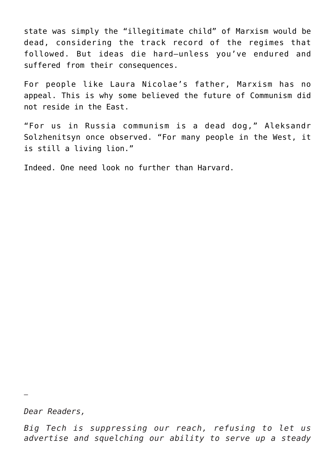state was simply the "illegitimate child" of Marxism would be dead, considering the track record of the regimes that followed. But ideas die hard—unless you've endured and suffered from their consequences.

For people like Laura Nicolae's father, Marxism has no appeal. This is why some believed the future of Communism did not reside in the East.

"For us in Russia communism is a dead dog," Aleksandr Solzhenitsyn once observed. "For many people in the West, it is still a living lion."

Indeed. One need look no further than Harvard.

*Dear Readers,*

—

*Big Tech is suppressing our reach, refusing to let us advertise and squelching our ability to serve up a steady*